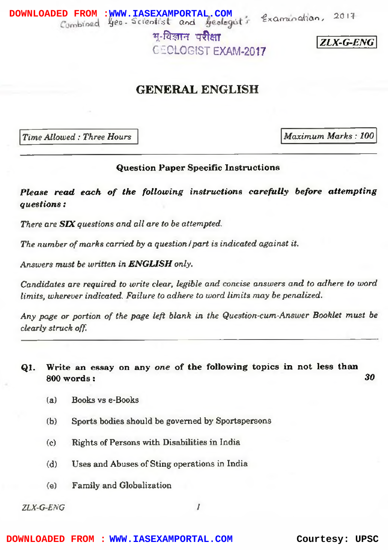Combined geo-Scientist and geologist's Examination, 2017 **[DOWNLOADED FROM : WWW.IASEXAMPORTAL.COM](http://iasexamportal.com/civilservices/)**

भ-विज्ञान परीक्षा **CECLOGiST EXAM-2017**

*ZLX-G-ENG*

# **GENERAL ENGLISH**

*Time Allowed: Three Hours Maximum Marks: 100*

### **Question Paper Specific Instructions**

Please read each of the following instructions carefully before attempting *questions:*

*There are SIX questions and all are to be attempted.*

*The number of marks carried by a question I part is indicated against it.*

*Answers must be written in ENGLISH only.*

*Candidates are required to write clear, legible and concise answers and to adhere to word limits, wherever indicated. Failure to adhere to word limits may be penalized.*

*Any page or portion of the page left blank in the Question-cum-Answer Booklet must be clearly struck off.*

Q1. Write an essay on any *one* of the following topics in not less than **800 words: 30**

- (a) Books vs e-Books
- (b) Sports bodies should be governed by Sportspersons
- (c) Rights of Persons with Disabilities in India
- (d) Uses and Abuses of Sting operations in India
- (e) Family and Globalization

*ZLX-G -ENG* /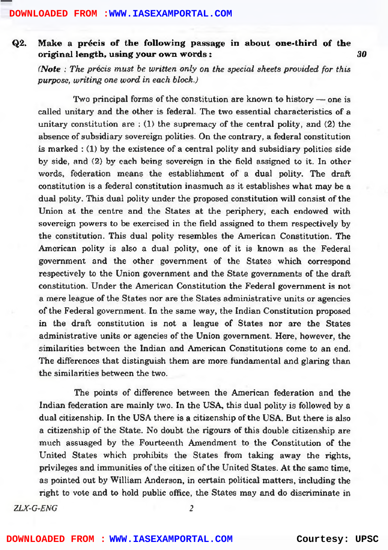### Q2. Make a précis of the following passage in about one-third of the original length, using your own w ord s: *30*

*(Note : The pr6cis must be. written only on the special sheets provided for this purpose, writing one word in each block.)*

Two principal forms of the constitution are known to history — one is called unitary and the other is federal. The two essential characteristics of a unitary constitution are : (1) the supremacy of the central polity, and (2) the absence of subsidiary sovereign polities. On the contrary, a federal constitution is marked : (1) by the existence of a central polity and subsidiary politics side by side, and (2) by each being sovereign in the field assigned to it. In other words, federation means the establishment of a dual polity. The draft constitution is a federal constitution inasmuch as it establishes what may be a dual polity. This dual polity under the proposed constitution will consist of the Union at the centre and the States at the periphery, each endowed with sovereign powers to be exercised in the field assigned to them respectively by the constitution. This dual polity resembles the American Constitution. The American polity is also a dual polity, one of it is known as the Federal government and the other government of the States which correspond respectively to the Union government and the State governments of the draft constitution. Under the American Constitution the Federal government is not a mere league of the States nor are the States administrative units or agencies of the Federal government. In the same way, the Indian Constitution proposed in the draft constitution is not a league of States nor arc the States administrative units or agencies of the Union government. Here, however, the similarities between the Indian and American Constitutions come to an end. The differences that distinguish them are more fundamental and glaring than the similarities between the two.

The points of difference between the American federation and the Indian federation are mainly two. In the USA, this dual polity is followed by a dual citizenship. In the USA there is a citizenship of the USA. But there is also a citizenship of the State. No doubt the rigours of this double citizenship are much assuaged by the Fourteenth Amendment to the Constitution of the United States which prohibits the States from taking away the rights, privileges and immunities of the citizen of the United States. At the same time, as pointed out by William Anderson, in certain political matters, including the right to vote and to hold public officc, the States may and do discriminate in

*ZLX-G-ENG 2*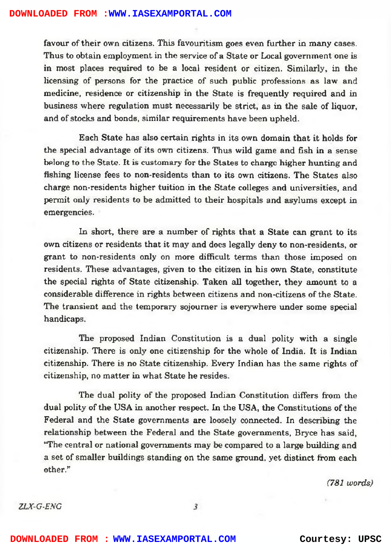favour of their own citizens. This favouritism goes even further in many cases. Thus to obtain employment in the service of a State or Local government one is in most places required to be a local resident or citizen. Similarly, in the licensing of persons for the practice of such public professions as law and medicine, residence or citizenship in the State is frequently required and in business where regulation must necessarily be strict, as in the sale of liquor, and of stocks and bonds, similar requirements have been upheld.

Each State has also certain rights in its own domain that it holds for the special advantage of its own citizens. Thus wild game and fish in a sense belong to the State. It is customary for the States to chargc higher hunting and fishing license fees to non-residents than to its own citizens. The States also charge non-residents higher tuition in the State colleges and universities, and permit only residents to be admitted to their hospitals and asylums except in emergencies.

In short, there are a number of rights that a State can grant to its own citizens or residents that it may and docs legally deny to non-residents, or grant to non-residents only on more difficult terms than those imposed on residents. These advantages, given to the citizen in his own State, constitute the special rights of State citizenship. Taken all together, they amount to a considerable difference in rights between citizens and non-citizens of the State. The transient and the temporary sojourner is everywhere under some special handicaps.

The proposed Indian Constitution is a dual polity with a single citizenship. There is only one citizenship for the whole of India. It is Indian citizenship. There is no State citizenship. Every Indian has the same rights of citizenship, no matter in what State he resides.

The dual polity of the proposed Indian Constitution differs from the dual polity of the USA in another respect. In the USA, the Constitutions of the Federal and the State governments are loosely connected. In describing the relationship between the Federal and the State governments, Bryce has said, "The central or national governments may be compared to a large building and a set of smaller buildings standing on the same ground, yet distinct from each other."

*(781 words)*

*ZLX-G-ENC*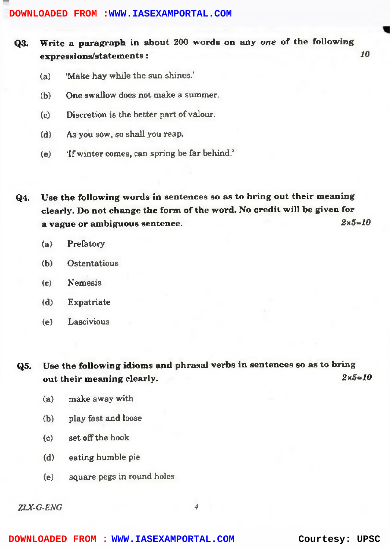# **Q3. Write a paragraph in about 200 words on any** *one* **of the following expressions/statements:** *^0*

- (a) 'Make hay while the sun shines.'
- (b) One swallow does not make a summer.
- (c) Discretion is the better part of valour.
- (d) As you sow, so shall you reap.
- (e) i f winter comes, can spring be far behind.'

**Q4. Use the following words in sentences so as to bring out their meaning clearly. Do not change the form of the word. No credit will be given for a** vague or ambiguous sentence.  $2 \times 5 = 10$ 

- (a) Prefatory
- (b) Ostentatious
- (c) Nemesis
- (d) Expatriate
- (e) Lascivious

**Q5. Use the following idioms and phrasal verbs in sentences so as to bring out their meaning clearly.**  $2 \times 5 = 10$ 

- (a) make away with
- (b) play fast and loose
- (c) set off the hook
- (d) eating humble pie
- (e) square pegs in round holes

*ZLX-G' ESG 4*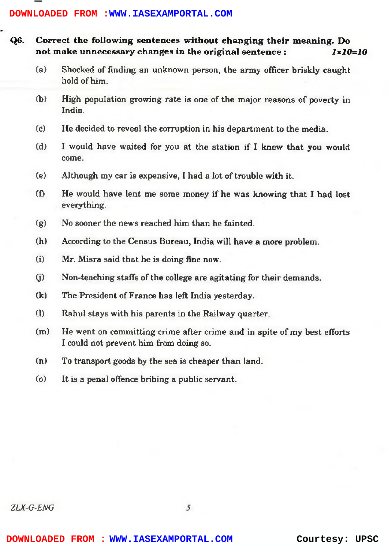#### **[DOWNLOADED FROM : WWW.IASEXAMPORTAL.COM](http://iasexamportal.com/civilservices/)**

## **Q6. Correct the following sentences without changing their meaning. Do not make unnecessary changes in the original sentence :**  $I \times I0=10$

- (a) Shocked of finding an unknown person, the army officer briskly caught hold of him.
- $(b)$  High population growing rate is one of the major reasons of poverty in India.
- (c) He decided to reveal the corruption in his department to the media.
- (d) I would have waited for you at the station if I knew that you would come.
- (e) Although my car is expensive, 1 had a lot of trouble with it.
- (f> He would have lent me some money if he was knowing that I had lost everything.
- (g) No sooner the news reached him than he fainted.
- (h) According to the Census Bureau, India will have a more problem.
- (i) Mr. Misra said that he is doing fine now.
- $(i)$  Non-teaching staffs of the college are agitating for their demands.
- (k) The President of France has left India yesterday.
- (I) Rahul stays with his parents in the Railway quarter.
- (m) He went on committing crime after crime and in spite of my best efforts I could not prevent him from doing so.
- (n) To transport goods by the sea is cheaper than land.
- (o) It is a penal offence bribing a public servant.

#### ZLX-G-ENG